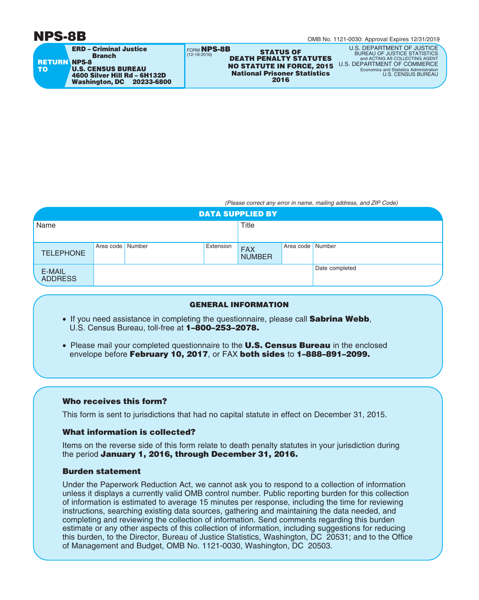# **NPS-8B**



OMB No. 1121-0030: Approval Expires 12/31/2019

FORM **NPS-8B** (12-19-2016) **STATUS OF DEATH PENALTY STATUTES 2016 National Prisoner Statistics NO STATUTE IN FORCE, 2015** U.S. DEPARTMENT OF COMMERCE

U.S. DEPARTMENT OF JUSTICE BUREAU OF JUSTICE STATISTICS and ACTING AS COLLECTING AGENT Economics and Statistics Administration U.S. CENSUS BUREAU

*(Please correct any error in name, mailing address, and ZIP Code)*

| <b>DATA SUPPLIED BY</b>  |                  |  |           |                             |                  |                |  |
|--------------------------|------------------|--|-----------|-----------------------------|------------------|----------------|--|
| Name                     |                  |  |           | Title                       |                  |                |  |
|                          |                  |  |           |                             |                  |                |  |
| <b>TELEPHONE</b>         | Area code Number |  | Extension | <b>FAX</b><br><b>NUMBER</b> | Area code Number |                |  |
| E-MAIL<br><b>ADDRESS</b> |                  |  |           |                             |                  | Date completed |  |

## **GENERAL INFORMATION**

- If you need assistance in completing the questionnaire, please call **Sabrina Webb**, U.S. Census Bureau, toll-free at **1–800–253–2078.**
- Please mail your completed questionnaire to the **U.S. Census Bureau** in the enclosed envelope before **February 10, 2017**, or FAX **both sides** to **1–888–891–2099.**

## **Who receives this form?**

This form is sent to jurisdictions that had no capital statute in effect on December 31, 2015.

### **What information is collected?**

Items on the reverse side of this form relate to death penalty statutes in your jurisdiction during the period **January 1, 2016, through December 31, 2016.**

### **Burden statement**

Under the Paperwork Reduction Act, we cannot ask you to respond to a collection of information unless it displays a currently valid OMB control number. Public reporting burden for this collection of information is estimated to average 15 minutes per response, including the time for reviewing instructions, searching existing data sources, gathering and maintaining the data needed, and completing and reviewing the collection of information. Send comments regarding this burden estimate or any other aspects of this collection of information, including suggestions for reducing this burden, to the Director, Bureau of Justice Statistics, Washington, DC 20531; and to the Office of Management and Budget, OMB No. 1121-0030, Washington, DC 20503.